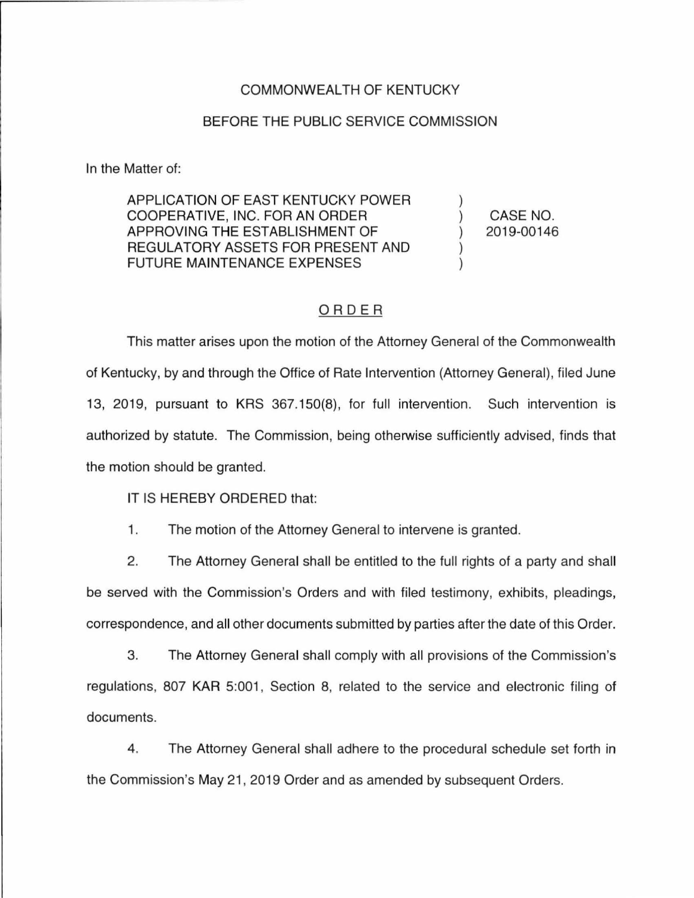## COMMONWEALTH OF KENTUCKY

## BEFORE THE PUBLIC SERVICE COMMISSION

In the Matter of:

APPLICATION OF EAST KENTUCKY POWER COOPERATIVE, INC. FOR AN ORDER APPROVING THE ESTABLISHMENT OF REGULATORY ASSETS FOR PRESENT AND FUTURE MAINTENANCE EXPENSES

CASE NO. 2019-00146

## ORDER

This matter arises upon the motion of the Attorney General of the Commonwealth of Kentucky, by and through the Office of Rate Intervention (Attorney General), filed June 13, 2019, pursuant to KRS 367.150(8), for full intervention. Such intervention is authorized by statute. The Commission, being otherwise sufficiently advised, finds that the motion should be granted.

IT IS HEREBY ORDERED that:

1. The motion of the Attorney General to intervene is granted.

2. The Attorney General shall be entitled to the full rights of a party and shall be served with the Commission's Orders and with filed testimony, exhibits, pleadings, correspondence, and all other documents submitted by parties after the date of this Order.

3. The Attorney General shall comply with all provisions of the Commission's regulations, 807 KAR 5:001, Section 8, related to the service and electronic filing of documents.

4. The Attorney General shall adhere to the procedural schedule set forth in the Commission's May 21, 2019 Order and as amended by subsequent Orders.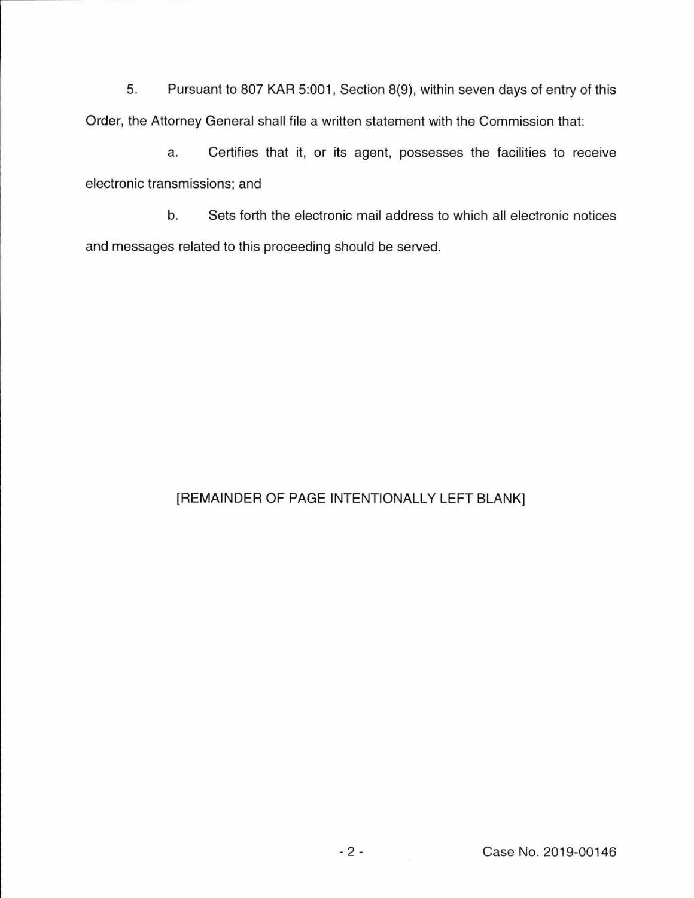5. Pursuant to 807 KAR 5:001, Section 8(9), within seven days of entry of this Order, the Attorney General shall file a written statement with the Commission that:

a. Certifies that it, or its agent, possesses the facilities to receive electronic transmissions; and

b. Sets forth the electronic mail address to which all electronic notices and messages related to this proceeding should be served.

## [REMAINDER OF PAGE INTENTIONALLY LEFT BLANK]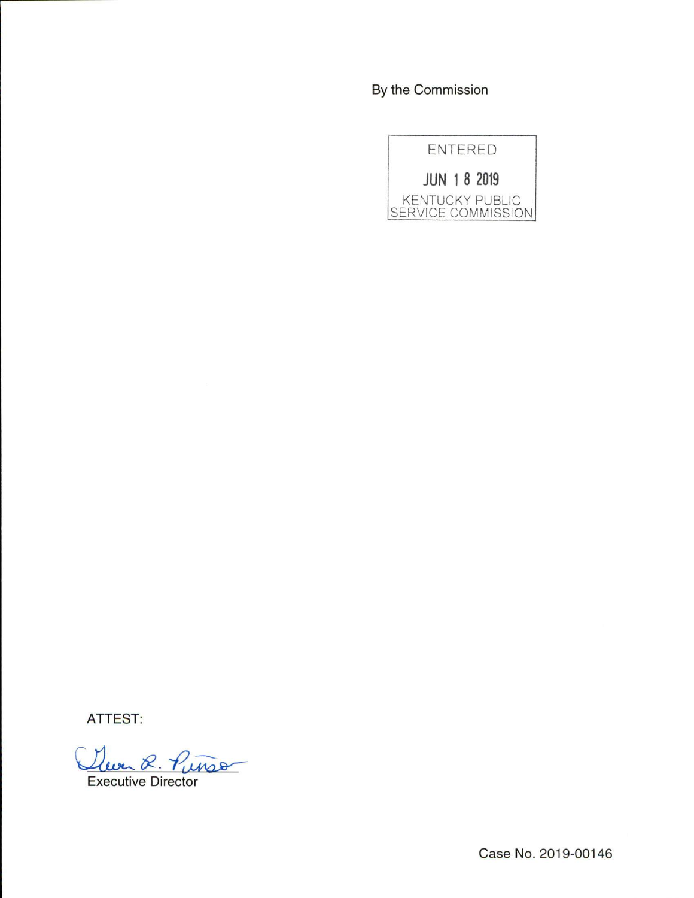By the Commission



ATTEST:

anso

Executive Director

Case No. 2019-00146